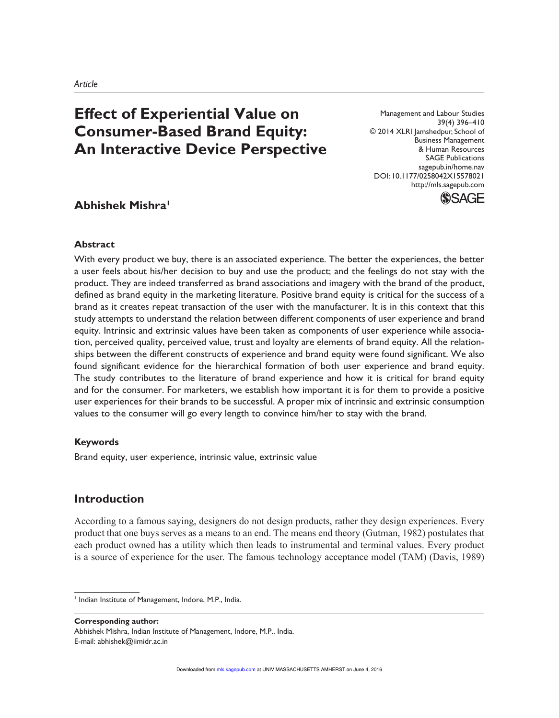# **Effect of Experiential Value on Consumer-Based Brand Equity: An Interactive Device Perspective**

Management and Labour Studies 39(4) 396–410 © 2014 XLRI Jamshedpur, School of Business Management & Human Resources SAGE Publications sagepub.in/home.nav DOI: 10.1177/0258042X15578021 http://mls.sagepub.com



# **Abhishek Mishra<sup>1</sup>**

#### **Abstract**

With every product we buy, there is an associated experience. The better the experiences, the better a user feels about his/her decision to buy and use the product; and the feelings do not stay with the product. They are indeed transferred as brand associations and imagery with the brand of the product, defined as brand equity in the marketing literature. Positive brand equity is critical for the success of a brand as it creates repeat transaction of the user with the manufacturer. It is in this context that this study attempts to understand the relation between different components of user experience and brand equity. Intrinsic and extrinsic values have been taken as components of user experience while association, perceived quality, perceived value, trust and loyalty are elements of brand equity. All the relationships between the different constructs of experience and brand equity were found significant. We also found significant evidence for the hierarchical formation of both user experience and brand equity. The study contributes to the literature of brand experience and how it is critical for brand equity and for the consumer. For marketers, we establish how important it is for them to provide a positive user experiences for their brands to be successful. A proper mix of intrinsic and extrinsic consumption values to the consumer will go every length to convince him/her to stay with the brand.

#### **Keywords**

Brand equity, user experience, intrinsic value, extrinsic value

## **Introduction**

According to a famous saying, designers do not design products, rather they design experiences. Every product that one buys serves as a means to an end. The means end theory (Gutman, 1982) postulates that each product owned has a utility which then leads to instrumental and terminal values. Every product is a source of experience for the user. The famous technology acceptance model (TAM) (Davis, 1989)

**Corresponding author:** Abhishek Mishra, Indian Institute of Management, Indore, M.P., India. E-mail: abhishek@iimidr.ac.in

<sup>&</sup>lt;sup>1</sup> Indian Institute of Management, Indore, M.P., India.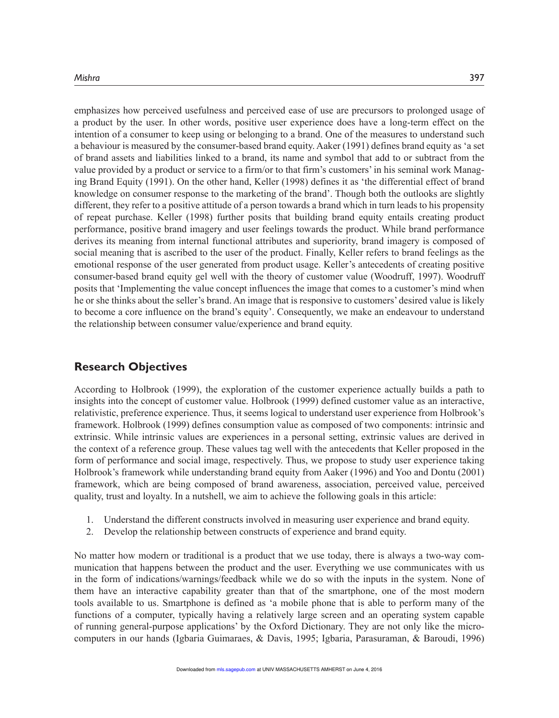emphasizes how perceived usefulness and perceived ease of use are precursors to prolonged usage of a product by the user. In other words, positive user experience does have a long-term effect on the intention of a consumer to keep using or belonging to a brand. One of the measures to understand such a behaviour is measured by the consumer-based brand equity. Aaker (1991) defines brand equity as 'a set of brand assets and liabilities linked to a brand, its name and symbol that add to or subtract from the value provided by a product or service to a firm/or to that firm's customers' in his seminal work Managing Brand Equity (1991). On the other hand, Keller (1998) defines it as 'the differential effect of brand knowledge on consumer response to the marketing of the brand'. Though both the outlooks are slightly different, they refer to a positive attitude of a person towards a brand which in turn leads to his propensity of repeat purchase. Keller (1998) further posits that building brand equity entails creating product performance, positive brand imagery and user feelings towards the product. While brand performance derives its meaning from internal functional attributes and superiority, brand imagery is composed of social meaning that is ascribed to the user of the product. Finally, Keller refers to brand feelings as the emotional response of the user generated from product usage. Keller's antecedents of creating positive consumer-based brand equity gel well with the theory of customer value (Woodruff, 1997). Woodruff posits that 'Implementing the value concept influences the image that comes to a customer's mind when he or she thinks about the seller's brand. An image that is responsive to customers' desired value is likely to become a core influence on the brand's equity'. Consequently, we make an endeavour to understand the relationship between consumer value/experience and brand equity.

# **Research Objectives**

According to Holbrook (1999), the exploration of the customer experience actually builds a path to insights into the concept of customer value. Holbrook (1999) defined customer value as an interactive, relativistic, preference experience. Thus, it seems logical to understand user experience from Holbrook's framework. Holbrook (1999) defines consumption value as composed of two components: intrinsic and extrinsic. While intrinsic values are experiences in a personal setting, extrinsic values are derived in the context of a reference group. These values tag well with the antecedents that Keller proposed in the form of performance and social image, respectively. Thus, we propose to study user experience taking Holbrook's framework while understanding brand equity from Aaker (1996) and Yoo and Dontu (2001) framework, which are being composed of brand awareness, association, perceived value, perceived quality, trust and loyalty. In a nutshell, we aim to achieve the following goals in this article:

- 1. Understand the different constructs involved in measuring user experience and brand equity.
- 2. Develop the relationship between constructs of experience and brand equity.

No matter how modern or traditional is a product that we use today, there is always a two-way communication that happens between the product and the user. Everything we use communicates with us in the form of indications/warnings/feedback while we do so with the inputs in the system. None of them have an interactive capability greater than that of the smartphone, one of the most modern tools available to us. Smartphone is defined as 'a mobile phone that is able to perform many of the functions of a computer, typically having a relatively large screen and an operating system capable of running general-purpose applications' by the Oxford Dictionary. They are not only like the microcomputers in our hands (Igbaria Guimaraes, & Davis, 1995; Igbaria, Parasuraman, & Baroudi, 1996)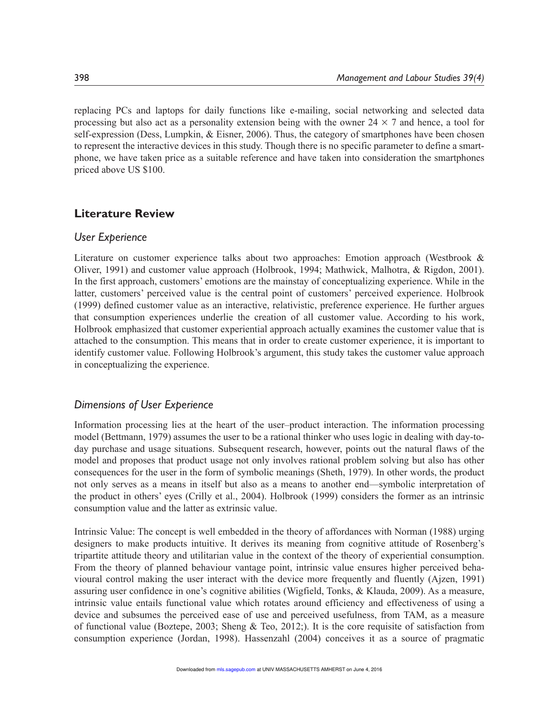replacing PCs and laptops for daily functions like e-mailing, social networking and selected data processing but also act as a personality extension being with the owner  $24 \times 7$  and hence, a tool for self-expression (Dess, Lumpkin, & Eisner, 2006). Thus, the category of smartphones have been chosen to represent the interactive devices in this study. Though there is no specific parameter to define a smartphone, we have taken price as a suitable reference and have taken into consideration the smartphones priced above US \$100.

## **Literature Review**

### *User Experience*

Literature on customer experience talks about two approaches: Emotion approach (Westbrook & Oliver, 1991) and customer value approach (Holbrook, 1994; Mathwick, Malhotra, & Rigdon, 2001). In the first approach, customers' emotions are the mainstay of conceptualizing experience. While in the latter, customers' perceived value is the central point of customers' perceived experience. Holbrook (1999) defined customer value as an interactive, relativistic, preference experience. He further argues that consumption experiences underlie the creation of all customer value. According to his work, Holbrook emphasized that customer experiential approach actually examines the customer value that is attached to the consumption. This means that in order to create customer experience, it is important to identify customer value. Following Holbrook's argument, this study takes the customer value approach in conceptualizing the experience.

### *Dimensions of User Experience*

Information processing lies at the heart of the user–product interaction. The information processing model (Bettmann, 1979) assumes the user to be a rational thinker who uses logic in dealing with day-today purchase and usage situations. Subsequent research, however, points out the natural flaws of the model and proposes that product usage not only involves rational problem solving but also has other consequences for the user in the form of symbolic meanings (Sheth, 1979). In other words, the product not only serves as a means in itself but also as a means to another end—symbolic interpretation of the product in others' eyes (Crilly et al., 2004). Holbrook (1999) considers the former as an intrinsic consumption value and the latter as extrinsic value.

Intrinsic Value: The concept is well embedded in the theory of affordances with Norman (1988) urging designers to make products intuitive. It derives its meaning from cognitive attitude of Rosenberg's tripartite attitude theory and utilitarian value in the context of the theory of experiential consumption. From the theory of planned behaviour vantage point, intrinsic value ensures higher perceived behavioural control making the user interact with the device more frequently and fluently (Ajzen, 1991) assuring user confidence in one's cognitive abilities (Wigfield, Tonks, & Klauda, 2009). As a measure, intrinsic value entails functional value which rotates around efficiency and effectiveness of using a device and subsumes the perceived ease of use and perceived usefulness, from TAM, as a measure of functional value (Boztepe, 2003; Sheng & Teo, 2012;). It is the core requisite of satisfaction from consumption experience (Jordan, 1998). Hassenzahl (2004) conceives it as a source of pragmatic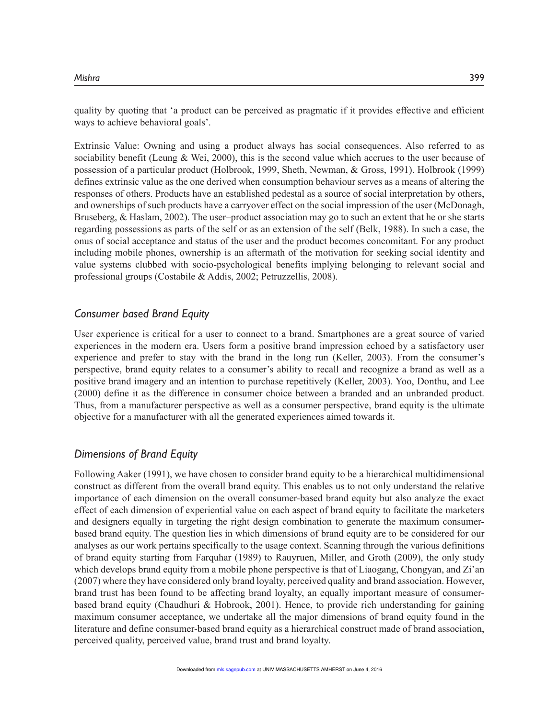quality by quoting that 'a product can be perceived as pragmatic if it provides effective and efficient ways to achieve behavioral goals'.

Extrinsic Value: Owning and using a product always has social consequences. Also referred to as sociability benefit (Leung & Wei, 2000), this is the second value which accrues to the user because of possession of a particular product (Holbrook, 1999, Sheth, Newman, & Gross, 1991). Holbrook (1999) defines extrinsic value as the one derived when consumption behaviour serves as a means of altering the responses of others. Products have an established pedestal as a source of social interpretation by others, and ownerships of such products have a carryover effect on the social impression of the user (McDonagh, Bruseberg, & Haslam, 2002). The user–product association may go to such an extent that he or she starts regarding possessions as parts of the self or as an extension of the self (Belk, 1988). In such a case, the onus of social acceptance and status of the user and the product becomes concomitant. For any product including mobile phones, ownership is an aftermath of the motivation for seeking social identity and value systems clubbed with socio-psychological benefits implying belonging to relevant social and professional groups (Costabile & Addis, 2002; Petruzzellis, 2008).

# *Consumer based Brand Equity*

User experience is critical for a user to connect to a brand. Smartphones are a great source of varied experiences in the modern era. Users form a positive brand impression echoed by a satisfactory user experience and prefer to stay with the brand in the long run (Keller, 2003). From the consumer's perspective, brand equity relates to a consumer's ability to recall and recognize a brand as well as a positive brand imagery and an intention to purchase repetitively (Keller, 2003). Yoo, Donthu, and Lee (2000) define it as the difference in consumer choice between a branded and an unbranded product. Thus, from a manufacturer perspective as well as a consumer perspective, brand equity is the ultimate objective for a manufacturer with all the generated experiences aimed towards it.

# *Dimensions of Brand Equity*

Following Aaker (1991), we have chosen to consider brand equity to be a hierarchical multidimensional construct as different from the overall brand equity. This enables us to not only understand the relative importance of each dimension on the overall consumer-based brand equity but also analyze the exact effect of each dimension of experiential value on each aspect of brand equity to facilitate the marketers and designers equally in targeting the right design combination to generate the maximum consumerbased brand equity. The question lies in which dimensions of brand equity are to be considered for our analyses as our work pertains specifically to the usage context. Scanning through the various definitions of brand equity starting from Farquhar (1989) to Rauyruen, Miller, and Groth (2009), the only study which develops brand equity from a mobile phone perspective is that of Liaogang, Chongyan, and Zi'an (2007) where they have considered only brand loyalty, perceived quality and brand association. However, brand trust has been found to be affecting brand loyalty, an equally important measure of consumerbased brand equity (Chaudhuri & Hobrook, 2001). Hence, to provide rich understanding for gaining maximum consumer acceptance, we undertake all the major dimensions of brand equity found in the literature and define consumer-based brand equity as a hierarchical construct made of brand association, perceived quality, perceived value, brand trust and brand loyalty.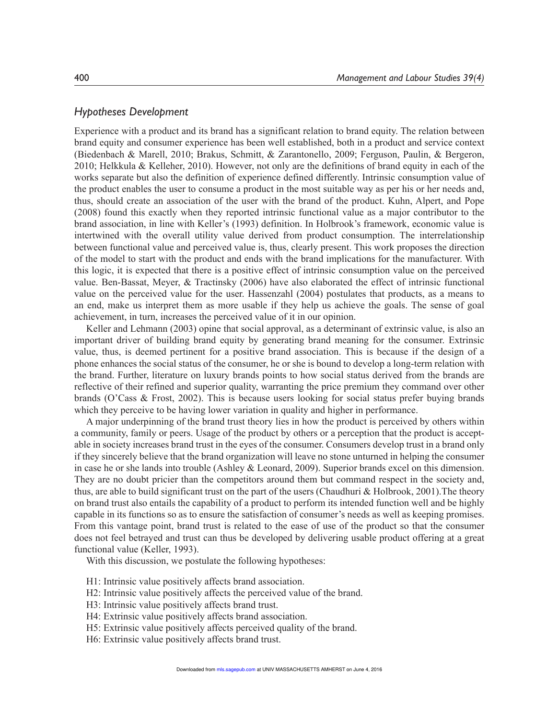#### *Hypotheses Development*

Experience with a product and its brand has a significant relation to brand equity. The relation between brand equity and consumer experience has been well established, both in a product and service context (Biedenbach & Marell, 2010; Brakus, Schmitt, & Zarantonello, 2009; Ferguson, Paulin, & Bergeron, 2010; Helkkula & Kelleher, 2010). However, not only are the definitions of brand equity in each of the works separate but also the definition of experience defined differently. Intrinsic consumption value of the product enables the user to consume a product in the most suitable way as per his or her needs and, thus, should create an association of the user with the brand of the product. Kuhn, Alpert, and Pope (2008) found this exactly when they reported intrinsic functional value as a major contributor to the brand association, in line with Keller's (1993) definition. In Holbrook's framework, economic value is intertwined with the overall utility value derived from product consumption. The interrelationship between functional value and perceived value is, thus, clearly present. This work proposes the direction of the model to start with the product and ends with the brand implications for the manufacturer. With this logic, it is expected that there is a positive effect of intrinsic consumption value on the perceived value. Ben-Bassat, Meyer, & Tractinsky (2006) have also elaborated the effect of intrinsic functional value on the perceived value for the user. Hassenzahl (2004) postulates that products, as a means to an end, make us interpret them as more usable if they help us achieve the goals. The sense of goal achievement, in turn, increases the perceived value of it in our opinion.

Keller and Lehmann (2003) opine that social approval, as a determinant of extrinsic value, is also an important driver of building brand equity by generating brand meaning for the consumer. Extrinsic value, thus, is deemed pertinent for a positive brand association. This is because if the design of a phone enhances the social status of the consumer, he or she is bound to develop a long-term relation with the brand. Further, literature on luxury brands points to how social status derived from the brands are reflective of their refined and superior quality, warranting the price premium they command over other brands (O'Cass & Frost, 2002). This is because users looking for social status prefer buying brands which they perceive to be having lower variation in quality and higher in performance.

A major underpinning of the brand trust theory lies in how the product is perceived by others within a community, family or peers. Usage of the product by others or a perception that the product is acceptable in society increases brand trust in the eyes of the consumer. Consumers develop trust in a brand only if they sincerely believe that the brand organization will leave no stone unturned in helping the consumer in case he or she lands into trouble (Ashley & Leonard, 2009). Superior brands excel on this dimension. They are no doubt pricier than the competitors around them but command respect in the society and, thus, are able to build significant trust on the part of the users (Chaudhuri & Holbrook, 2001).The theory on brand trust also entails the capability of a product to perform its intended function well and be highly capable in its functions so as to ensure the satisfaction of consumer's needs as well as keeping promises. From this vantage point, brand trust is related to the ease of use of the product so that the consumer does not feel betrayed and trust can thus be developed by delivering usable product offering at a great functional value (Keller, 1993).

With this discussion, we postulate the following hypotheses:

- H1: Intrinsic value positively affects brand association.
- H2: Intrinsic value positively affects the perceived value of the brand.
- H3: Intrinsic value positively affects brand trust.
- H4: Extrinsic value positively affects brand association.
- H5: Extrinsic value positively affects perceived quality of the brand.
- H6: Extrinsic value positively affects brand trust.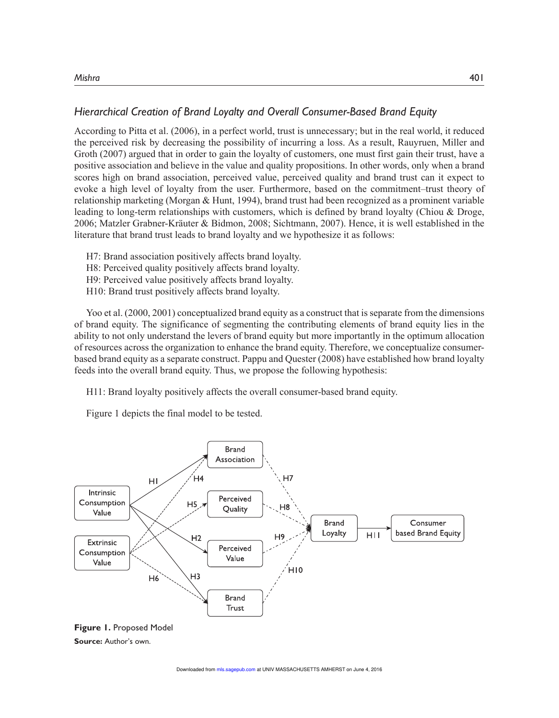# *Hierarchical Creation of Brand Loyalty and Overall Consumer-Based Brand Equity*

According to Pitta et al. (2006), in a perfect world, trust is unnecessary; but in the real world, it reduced the perceived risk by decreasing the possibility of incurring a loss. As a result, Rauyruen, Miller and Groth (2007) argued that in order to gain the loyalty of customers, one must first gain their trust, have a positive association and believe in the value and quality propositions. In other words, only when a brand scores high on brand association, perceived value, perceived quality and brand trust can it expect to evoke a high level of loyalty from the user. Furthermore, based on the commitment–trust theory of relationship marketing (Morgan & Hunt, 1994), brand trust had been recognized as a prominent variable leading to long-term relationships with customers, which is defined by brand loyalty (Chiou & Droge, 2006; Matzler Grabner-Kräuter & Bidmon, 2008; Sichtmann, 2007). Hence, it is well established in the literature that brand trust leads to brand loyalty and we hypothesize it as follows:

- H7: Brand association positively affects brand loyalty.
- H8: Perceived quality positively affects brand loyalty.
- H9: Perceived value positively affects brand loyalty.
- H10: Brand trust positively affects brand loyalty.

Yoo et al. (2000, 2001) conceptualized brand equity as a construct that is separate from the dimensions of brand equity. The significance of segmenting the contributing elements of brand equity lies in the ability to not only understand the levers of brand equity but more importantly in the optimum allocation of resources across the organization to enhance the brand equity. Therefore, we conceptualize consumerbased brand equity as a separate construct. Pappu and Quester (2008) have established how brand loyalty feeds into the overall brand equity. Thus, we propose the following hypothesis:

H11: Brand loyalty positively affects the overall consumer-based brand equity.

Figure 1 depicts the final model to be tested.



**Source:** Author's own.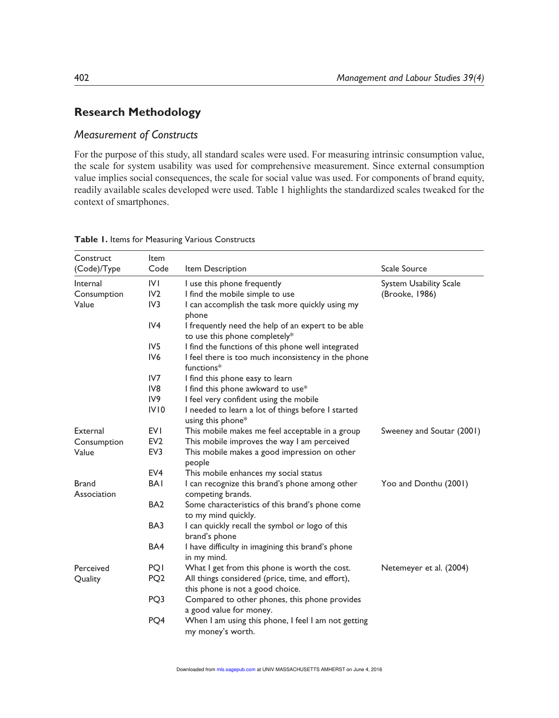# **Research Methodology**

### *Measurement of Constructs*

For the purpose of this study, all standard scales were used. For measuring intrinsic consumption value, the scale for system usability was used for comprehensive measurement. Since external consumption value implies social consequences, the scale for social value was used. For components of brand equity, readily available scales developed were used. Table 1 highlights the standardized scales tweaked for the context of smartphones.

| Construct<br>(Code)/Type | Item<br>Code    | Item Description                                    | Scale Source                  |
|--------------------------|-----------------|-----------------------------------------------------|-------------------------------|
| Internal                 | IVI.            | I use this phone frequently                         | <b>System Usability Scale</b> |
| Consumption              | IV2             | I find the mobile simple to use                     | (Brooke, 1986)                |
| Value                    | IV3             | I can accomplish the task more quickly using my     |                               |
|                          |                 | phone                                               |                               |
|                          | IV4             | I frequently need the help of an expert to be able  |                               |
|                          |                 | to use this phone completely*                       |                               |
|                          | IV <sub>5</sub> | I find the functions of this phone well integrated  |                               |
|                          | IV <sub>6</sub> | I feel there is too much inconsistency in the phone |                               |
|                          |                 | functions*                                          |                               |
|                          | IV7             | I find this phone easy to learn                     |                               |
|                          | IV <sub>8</sub> | I find this phone awkward to use*                   |                               |
|                          | IV <sub>9</sub> | I feel very confident using the mobile              |                               |
|                          | IV10            | I needed to learn a lot of things before I started  |                               |
|                          |                 | using this phone*                                   |                               |
| External                 | EV I            | This mobile makes me feel acceptable in a group     | Sweeney and Soutar (2001)     |
| Consumption              | EV <sub>2</sub> | This mobile improves the way I am perceived         |                               |
| Value                    | EV3             | This mobile makes a good impression on other        |                               |
|                          |                 | people                                              |                               |
|                          | EV <sub>4</sub> | This mobile enhances my social status               |                               |
| <b>Brand</b>             | <b>BAI</b>      | I can recognize this brand's phone among other      | Yoo and Donthu (2001)         |
| Association              |                 | competing brands.                                   |                               |
|                          | BA <sub>2</sub> | Some characteristics of this brand's phone come     |                               |
|                          |                 | to my mind quickly.                                 |                               |
|                          | BA3             | I can quickly recall the symbol or logo of this     |                               |
|                          |                 | brand's phone                                       |                               |
|                          | BA4             | I have difficulty in imagining this brand's phone   |                               |
|                          |                 | in my mind.                                         |                               |
| Perceived                | POI             | What I get from this phone is worth the cost.       | Netemeyer et al. (2004)       |
| Quality                  | PQ <sub>2</sub> | All things considered (price, time, and effort),    |                               |
|                          |                 | this phone is not a good choice.                    |                               |
|                          | PQ3             | Compared to other phones, this phone provides       |                               |
|                          |                 | a good value for money.                             |                               |
|                          | PQ4             | When I am using this phone, I feel I am not getting |                               |
|                          |                 | my money's worth.                                   |                               |

#### **Table 1.** Items for Measuring Various Constructs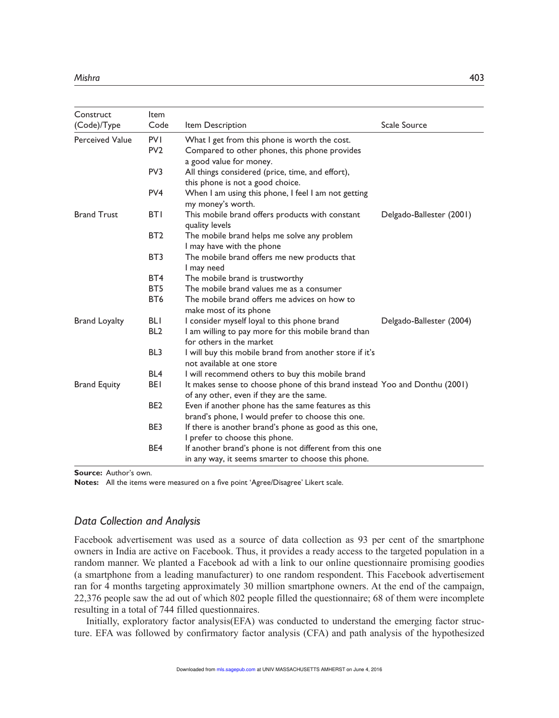| Construct              | <b>Item</b>     |                                                                            |                          |  |  |  |  |  |  |
|------------------------|-----------------|----------------------------------------------------------------------------|--------------------------|--|--|--|--|--|--|
| (Code)/Type            | Code            | Item Description                                                           | Scale Source             |  |  |  |  |  |  |
| <b>Perceived Value</b> | <b>PVI</b>      | What I get from this phone is worth the cost.                              |                          |  |  |  |  |  |  |
|                        | PV <sub>2</sub> | Compared to other phones, this phone provides                              |                          |  |  |  |  |  |  |
|                        |                 | a good value for money.                                                    |                          |  |  |  |  |  |  |
|                        | PV3             | All things considered (price, time, and effort),                           |                          |  |  |  |  |  |  |
|                        |                 | this phone is not a good choice.                                           |                          |  |  |  |  |  |  |
|                        | PV <sub>4</sub> | When I am using this phone, I feel I am not getting                        |                          |  |  |  |  |  |  |
|                        |                 | my money's worth.                                                          |                          |  |  |  |  |  |  |
| <b>Brand Trust</b>     | <b>BTI</b>      | This mobile brand offers products with constant                            | Delgado-Ballester (2001) |  |  |  |  |  |  |
|                        |                 | quality levels                                                             |                          |  |  |  |  |  |  |
|                        | BT <sub>2</sub> | The mobile brand helps me solve any problem                                |                          |  |  |  |  |  |  |
|                        |                 | I may have with the phone                                                  |                          |  |  |  |  |  |  |
|                        | BT <sub>3</sub> | The mobile brand offers me new products that                               |                          |  |  |  |  |  |  |
|                        |                 | I may need                                                                 |                          |  |  |  |  |  |  |
|                        | BT4             | The mobile brand is trustworthy                                            |                          |  |  |  |  |  |  |
|                        | BT <sub>5</sub> | The mobile brand values me as a consumer                                   |                          |  |  |  |  |  |  |
|                        | BT6             | The mobile brand offers me advices on how to                               |                          |  |  |  |  |  |  |
|                        |                 | make most of its phone                                                     |                          |  |  |  |  |  |  |
| <b>Brand Loyalty</b>   | <b>BLI</b>      | I consider myself loyal to this phone brand                                | Delgado-Ballester (2004) |  |  |  |  |  |  |
|                        | BL <sub>2</sub> | I am willing to pay more for this mobile brand than                        |                          |  |  |  |  |  |  |
|                        |                 | for others in the market                                                   |                          |  |  |  |  |  |  |
|                        | BL <sub>3</sub> | I will buy this mobile brand from another store if it's                    |                          |  |  |  |  |  |  |
|                        |                 | not available at one store                                                 |                          |  |  |  |  |  |  |
|                        | BL <sub>4</sub> | I will recommend others to buy this mobile brand                           |                          |  |  |  |  |  |  |
| <b>Brand Equity</b>    | <b>BEI</b>      | It makes sense to choose phone of this brand instead Yoo and Donthu (2001) |                          |  |  |  |  |  |  |
|                        |                 | of any other, even if they are the same.                                   |                          |  |  |  |  |  |  |
|                        | BE <sub>2</sub> | Even if another phone has the same features as this                        |                          |  |  |  |  |  |  |
|                        |                 | brand's phone, I would prefer to choose this one.                          |                          |  |  |  |  |  |  |
|                        | BE3             | If there is another brand's phone as good as this one,                     |                          |  |  |  |  |  |  |
|                        |                 | I prefer to choose this phone.                                             |                          |  |  |  |  |  |  |
|                        | BE4             | If another brand's phone is not different from this one                    |                          |  |  |  |  |  |  |
|                        |                 | in any way, it seems smarter to choose this phone.                         |                          |  |  |  |  |  |  |

**Source:** Author's own.

**Notes:** All the items were measured on a five point 'Agree/Disagree' Likert scale.

### *Data Collection and Analysis*

Facebook advertisement was used as a source of data collection as 93 per cent of the smartphone owners in India are active on Facebook. Thus, it provides a ready access to the targeted population in a random manner. We planted a Facebook ad with a link to our online questionnaire promising goodies (a smartphone from a leading manufacturer) to one random respondent. This Facebook advertisement ran for 4 months targeting approximately 30 million smartphone owners. At the end of the campaign, 22,376 people saw the ad out of which 802 people filled the questionnaire; 68 of them were incomplete resulting in a total of 744 filled questionnaires.

Initially, exploratory factor analysis(EFA) was conducted to understand the emerging factor structure. EFA was followed by confirmatory factor analysis (CFA) and path analysis of the hypothesized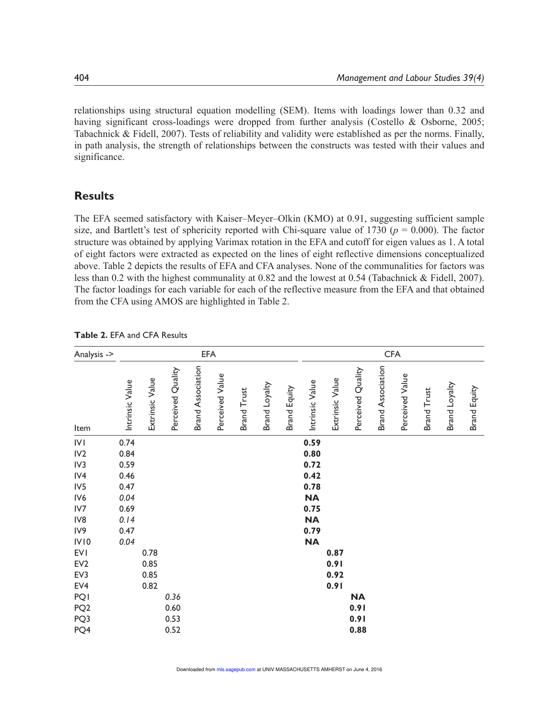relationships using structural equation modelling (SEM). Items with loadings lower than 0.32 and having significant cross-loadings were dropped from further analysis (Costello & Osborne, 2005; Tabachnick & Fidell, 2007). Tests of reliability and validity were established as per the norms. Finally, in path analysis, the strength of relationships between the constructs was tested with their values and significance.

### **Results**

The EFA seemed satisfactory with Kaiser–Meyer–Olkin (KMO) at 0.91, suggesting sufficient sample size, and Bartlett's test of sphericity reported with Chi-square value of 1730 ( $p = 0.000$ ). The factor structure was obtained by applying Varimax rotation in the EFA and cutoff for eigen values as 1. A total of eight factors were extracted as expected on the lines of eight reflective dimensions conceptualized above. Table 2 depicts the results of EFA and CFA analyses. None of the communalities for factors was less than 0.2 with the highest communality at 0.82 and the lowest at 0.54 (Tabachnick & Fidell, 2007). The factor loadings for each variable for each of the reflective measure from the EFA and that obtained from the CFA using AMOS are highlighted in Table 2.

| Analysis ->                                              |                 |                 |                   |                          | EFA             |                    |               |              |                 |                 |                   |                          | <b>CFA</b>      |                    |               |                     |
|----------------------------------------------------------|-----------------|-----------------|-------------------|--------------------------|-----------------|--------------------|---------------|--------------|-----------------|-----------------|-------------------|--------------------------|-----------------|--------------------|---------------|---------------------|
| Item                                                     | Intrinsic Value | Extrinsic Value | Perceived Quality | <b>Brand Association</b> | Perceived Value | <b>Brand Trust</b> | Brand Loyalty | Brand Equity | Intrinsic Value | Extrinsic Value | Perceived Quality | <b>Brand Association</b> | Perceived Value | <b>Brand Trust</b> | Brand Loyalty | <b>Brand Equity</b> |
| $\ensuremath{\mathsf{IV}}\xspace\ensuremath{\mathsf{I}}$ | 0.74            |                 |                   |                          |                 |                    |               |              | 0.59            |                 |                   |                          |                 |                    |               |                     |
| IV <sub>2</sub>                                          | 0.84            |                 |                   |                          |                 |                    |               |              | 0.80            |                 |                   |                          |                 |                    |               |                     |
| IV3                                                      | 0.59            |                 |                   |                          |                 |                    |               |              | 0.72            |                 |                   |                          |                 |                    |               |                     |
| IV4                                                      | 0.46            |                 |                   |                          |                 |                    |               |              | 0.42            |                 |                   |                          |                 |                    |               |                     |
| IV5                                                      | 0.47            |                 |                   |                          |                 |                    |               |              | 0.78            |                 |                   |                          |                 |                    |               |                     |
| IV <sub>6</sub>                                          | 0.04            |                 |                   |                          |                 |                    |               |              | <b>NA</b>       |                 |                   |                          |                 |                    |               |                     |
| $IV7$                                                    | 0.69            |                 |                   |                          |                 |                    |               |              | 0.75            |                 |                   |                          |                 |                    |               |                     |
| IV <sub>8</sub>                                          | 0.14            |                 |                   |                          |                 |                    |               |              | <b>NA</b>       |                 |                   |                          |                 |                    |               |                     |
| IV9                                                      | 0.47            |                 |                   |                          |                 |                    |               |              | 0.79            |                 |                   |                          |                 |                    |               |                     |
| IV10                                                     | 0.04            |                 |                   |                          |                 |                    |               |              | <b>NA</b>       |                 |                   |                          |                 |                    |               |                     |
| <b>EVI</b>                                               |                 | 0.78            |                   |                          |                 |                    |               |              |                 | 0.87            |                   |                          |                 |                    |               |                     |
| EV <sub>2</sub>                                          |                 | 0.85            |                   |                          |                 |                    |               |              |                 | 0.91            |                   |                          |                 |                    |               |                     |
| EV3                                                      |                 | 0.85            |                   |                          |                 |                    |               |              |                 | 0.92            |                   |                          |                 |                    |               |                     |
| EV4                                                      |                 | 0.82            |                   |                          |                 |                    |               |              |                 | 0.91            |                   |                          |                 |                    |               |                     |
| <b>PQI</b>                                               |                 |                 | 0.36              |                          |                 |                    |               |              |                 |                 | <b>NA</b>         |                          |                 |                    |               |                     |
| PQ <sub>2</sub>                                          |                 |                 | 0.60              |                          |                 |                    |               |              |                 |                 | 0.91              |                          |                 |                    |               |                     |
| PQ3                                                      |                 |                 | 0.53              |                          |                 |                    |               |              |                 |                 | 0.91              |                          |                 |                    |               |                     |
| PQ4                                                      |                 |                 | 0.52              |                          |                 |                    |               |              |                 |                 | 0.88              |                          |                 |                    |               |                     |

**Table 2.** EFA and CFA Results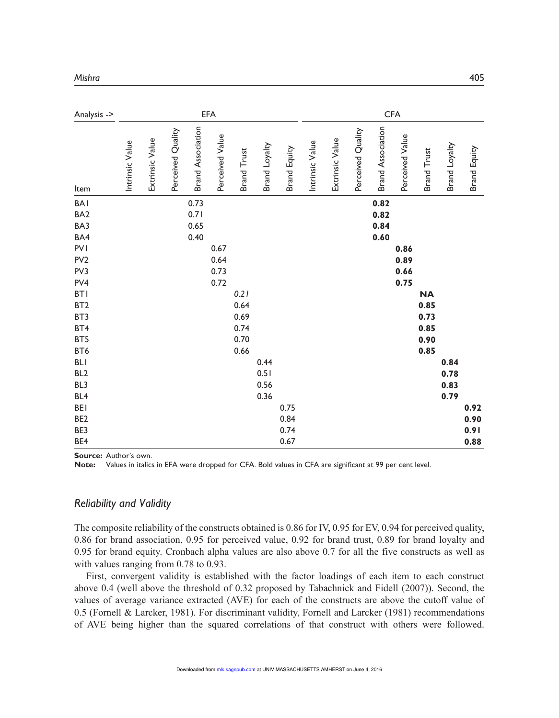| Analysis ->     |                 |                 |                   |                          | EFA             |                    |               |              |                 |                 |                   |                          | $\mathsf{CFA}$  |                    |               |                     |
|-----------------|-----------------|-----------------|-------------------|--------------------------|-----------------|--------------------|---------------|--------------|-----------------|-----------------|-------------------|--------------------------|-----------------|--------------------|---------------|---------------------|
| Item            | Intrinsic Value | Extrinsic Value | Perceived Quality | <b>Brand Association</b> | Perceived Value | <b>Brand Trust</b> | Brand Loyalty | Brand Equity | Intrinsic Value | Extrinsic Value | Perceived Quality | <b>Brand Association</b> | Perceived Value | <b>Brand Trust</b> | Brand Loyalty | <b>Brand Equity</b> |
| BAI             |                 |                 |                   | 0.73                     |                 |                    |               |              |                 |                 |                   | 0.82                     |                 |                    |               |                     |
| BA <sub>2</sub> |                 |                 |                   | 0.71                     |                 |                    |               |              |                 |                 |                   | 0.82                     |                 |                    |               |                     |
| BA3             |                 |                 |                   | 0.65                     |                 |                    |               |              |                 |                 |                   | 0.84                     |                 |                    |               |                     |
| BA4             |                 |                 |                   | 0.40                     |                 |                    |               |              |                 |                 |                   | 0.60                     |                 |                    |               |                     |
| <b>PVI</b>      |                 |                 |                   |                          | 0.67            |                    |               |              |                 |                 |                   |                          | 0.86            |                    |               |                     |
| PV <sub>2</sub> |                 |                 |                   |                          | 0.64            |                    |               |              |                 |                 |                   |                          | 0.89            |                    |               |                     |
| PV3             |                 |                 |                   |                          | 0.73            |                    |               |              |                 |                 |                   |                          | 0.66            |                    |               |                     |
| PV4             |                 |                 |                   |                          | 0.72            |                    |               |              |                 |                 |                   |                          | 0.75            |                    |               |                     |
| BTI             |                 |                 |                   |                          |                 | 0.21               |               |              |                 |                 |                   |                          |                 | <b>NA</b>          |               |                     |
| BT <sub>2</sub> |                 |                 |                   |                          |                 | 0.64               |               |              |                 |                 |                   |                          |                 | 0.85               |               |                     |
| BT3             |                 |                 |                   |                          |                 | 0.69               |               |              |                 |                 |                   |                          |                 | 0.73               |               |                     |
| BT4             |                 |                 |                   |                          |                 | 0.74               |               |              |                 |                 |                   |                          |                 | 0.85               |               |                     |
| BT5             |                 |                 |                   |                          |                 | 0.70               |               |              |                 |                 |                   |                          |                 | 0.90               |               |                     |
| BT6             |                 |                 |                   |                          |                 | 0.66               |               |              |                 |                 |                   |                          |                 | 0.85               |               |                     |
| BLI             |                 |                 |                   |                          |                 |                    | 0.44          |              |                 |                 |                   |                          |                 |                    | 0.84          |                     |
| BL <sub>2</sub> |                 |                 |                   |                          |                 |                    | 0.51          |              |                 |                 |                   |                          |                 |                    | 0.78          |                     |
| BL3             |                 |                 |                   |                          |                 |                    | 0.56          |              |                 |                 |                   |                          |                 |                    | 0.83          |                     |
| BL4             |                 |                 |                   |                          |                 |                    | 0.36          |              |                 |                 |                   |                          |                 |                    | 0.79          |                     |
| <b>BEI</b>      |                 |                 |                   |                          |                 |                    |               | 0.75         |                 |                 |                   |                          |                 |                    |               | 0.92                |
| BE <sub>2</sub> |                 |                 |                   |                          |                 |                    |               | 0.84         |                 |                 |                   |                          |                 |                    |               | 0.90                |
| BE3             |                 |                 |                   |                          |                 |                    |               | 0.74         |                 |                 |                   |                          |                 |                    |               | 0.91                |
| BE4             |                 |                 |                   |                          |                 |                    |               | 0.67         |                 |                 |                   |                          |                 |                    |               | 0.88                |

**Source:** Author's own.

**Note:** Values in italics in EFA were dropped for CFA. Bold values in CFA are significant at 99 per cent level.

#### *Reliability and Validity*

The composite reliability of the constructs obtained is 0.86 for IV, 0.95 for EV, 0.94 for perceived quality, 0.86 for brand association, 0.95 for perceived value, 0.92 for brand trust, 0.89 for brand loyalty and 0.95 for brand equity. Cronbach alpha values are also above 0.7 for all the five constructs as well as with values ranging from 0.78 to 0.93.

First, convergent validity is established with the factor loadings of each item to each construct above 0.4 (well above the threshold of 0.32 proposed by Tabachnick and Fidell (2007)). Second, the values of average variance extracted (AVE) for each of the constructs are above the cutoff value of 0.5 (Fornell & Larcker, 1981). For discriminant validity, Fornell and Larcker (1981) recommendations of AVE being higher than the squared correlations of that construct with others were followed.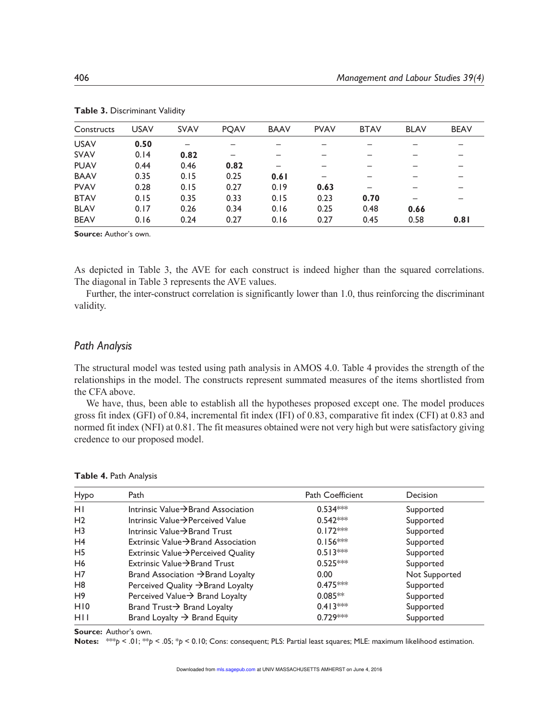| Constructs  | <b>USAV</b> | <b>SVAV</b> | <b>POAV</b> | <b>BAAV</b> | <b>PVAV</b> | <b>BTAV</b> | <b>BLAV</b> | <b>BEAV</b> |
|-------------|-------------|-------------|-------------|-------------|-------------|-------------|-------------|-------------|
| <b>USAV</b> | 0.50        |             |             |             |             |             |             |             |
| <b>SVAV</b> | 0.14        | 0.82        |             |             |             |             |             |             |
| <b>PUAV</b> | 0.44        | 0.46        | 0.82        |             |             |             |             |             |
| <b>BAAV</b> | 0.35        | 0.15        | 0.25        | 0.61        |             |             |             |             |
| <b>PVAV</b> | 0.28        | 0.15        | 0.27        | 0.19        | 0.63        |             |             | -           |
| <b>BTAV</b> | 0.15        | 0.35        | 0.33        | 0.15        | 0.23        | 0.70        |             |             |
| <b>BLAV</b> | 0.17        | 0.26        | 0.34        | 0.16        | 0.25        | 0.48        | 0.66        |             |
| <b>BEAV</b> | 0.16        | 0.24        | 0.27        | 0.16        | 0.27        | 0.45        | 0.58        | 0.81        |
|             |             |             |             |             |             |             |             |             |

**Table 3.** Discriminant Validity

**Source:** Author's own.

As depicted in Table 3, the AVE for each construct is indeed higher than the squared correlations. The diagonal in Table 3 represents the AVE values.

Further, the inter-construct correlation is significantly lower than 1.0, thus reinforcing the discriminant validity.

#### *Path Analysis*

The structural model was tested using path analysis in AMOS 4.0. Table 4 provides the strength of the relationships in the model. The constructs represent summated measures of the items shortlisted from the CFA above.

We have, thus, been able to establish all the hypotheses proposed except one. The model produces gross fit index (GFI) of 0.84, incremental fit index (IFI) of 0.83, comparative fit index (CFI) at 0.83 and normed fit index (NFI) at 0.81. The fit measures obtained were not very high but were satisfactory giving credence to our proposed model.

| Hypo            | Path                                            | Path Coefficient | Decision      |
|-----------------|-------------------------------------------------|------------------|---------------|
| H1              | Intrinsic Value $\rightarrow$ Brand Association | $0.534***$       | Supported     |
| H <sub>2</sub>  | Intrinsic Value $\rightarrow$ Perceived Value   | $0.542***$       | Supported     |
| H <sub>3</sub>  | Intrinsic Value $\rightarrow$ Brand Trust       | $0.172***$       | Supported     |
| H4              | Extrinsic Value $\rightarrow$ Brand Association | $0.156***$       | Supported     |
| H <sub>5</sub>  | Extrinsic Value $\rightarrow$ Perceived Quality | $0.513***$       | Supported     |
| H <sub>6</sub>  | Extrinsic Value $\rightarrow$ Brand Trust       | $0.525***$       | Supported     |
| H <sub>7</sub>  | Brand Association → Brand Loyalty               | 0.00             | Not Supported |
| H <sub>8</sub>  | Perceived Quality $\rightarrow$ Brand Loyalty   | $0.475***$       | Supported     |
| H <sub>9</sub>  | Perceived Value $\rightarrow$ Brand Loyalty     | $0.085**$        | Supported     |
| H <sub>10</sub> | Brand $Trust \rightarrow Brand$ Loyalty         | $0.413***$       | Supported     |
| HII             | Brand Loyalty $\rightarrow$ Brand Equity        | $0.729***$       | Supported     |

**Table 4.** Path Analysis

**Source:** Author's own.

**Notes:** \*\*\**p* < .01; \*\**p* < .05; \**p* < 0.10; Cons: consequent; PLS: Partial least squares; MLE: maximum likelihood estimation.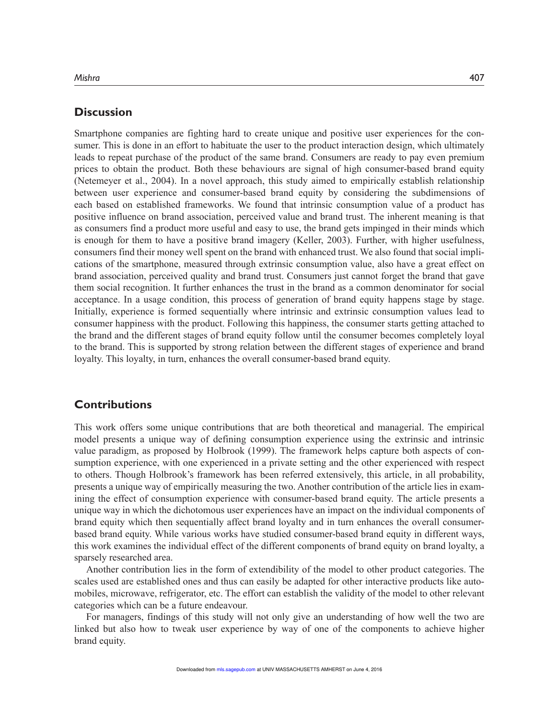### **Discussion**

Smartphone companies are fighting hard to create unique and positive user experiences for the consumer. This is done in an effort to habituate the user to the product interaction design, which ultimately leads to repeat purchase of the product of the same brand. Consumers are ready to pay even premium prices to obtain the product. Both these behaviours are signal of high consumer-based brand equity (Netemeyer et al., 2004). In a novel approach, this study aimed to empirically establish relationship between user experience and consumer-based brand equity by considering the subdimensions of each based on established frameworks. We found that intrinsic consumption value of a product has positive influence on brand association, perceived value and brand trust. The inherent meaning is that as consumers find a product more useful and easy to use, the brand gets impinged in their minds which is enough for them to have a positive brand imagery (Keller, 2003). Further, with higher usefulness, consumers find their money well spent on the brand with enhanced trust. We also found that social implications of the smartphone, measured through extrinsic consumption value, also have a great effect on brand association, perceived quality and brand trust. Consumers just cannot forget the brand that gave them social recognition. It further enhances the trust in the brand as a common denominator for social acceptance. In a usage condition, this process of generation of brand equity happens stage by stage. Initially, experience is formed sequentially where intrinsic and extrinsic consumption values lead to consumer happiness with the product. Following this happiness, the consumer starts getting attached to the brand and the different stages of brand equity follow until the consumer becomes completely loyal to the brand. This is supported by strong relation between the different stages of experience and brand loyalty. This loyalty, in turn, enhances the overall consumer-based brand equity.

#### **Contributions**

This work offers some unique contributions that are both theoretical and managerial. The empirical model presents a unique way of defining consumption experience using the extrinsic and intrinsic value paradigm, as proposed by Holbrook (1999). The framework helps capture both aspects of consumption experience, with one experienced in a private setting and the other experienced with respect to others. Though Holbrook's framework has been referred extensively, this article, in all probability, presents a unique way of empirically measuring the two. Another contribution of the article lies in examining the effect of consumption experience with consumer-based brand equity. The article presents a unique way in which the dichotomous user experiences have an impact on the individual components of brand equity which then sequentially affect brand loyalty and in turn enhances the overall consumerbased brand equity. While various works have studied consumer-based brand equity in different ways, this work examines the individual effect of the different components of brand equity on brand loyalty, a sparsely researched area.

Another contribution lies in the form of extendibility of the model to other product categories. The scales used are established ones and thus can easily be adapted for other interactive products like automobiles, microwave, refrigerator, etc. The effort can establish the validity of the model to other relevant categories which can be a future endeavour.

For managers, findings of this study will not only give an understanding of how well the two are linked but also how to tweak user experience by way of one of the components to achieve higher brand equity.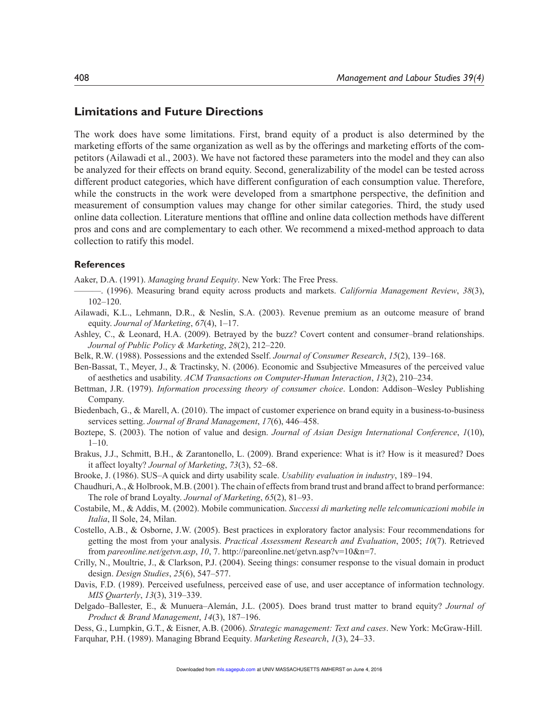### **Limitations and Future Directions**

The work does have some limitations. First, brand equity of a product is also determined by the marketing efforts of the same organization as well as by the offerings and marketing efforts of the competitors (Ailawadi et al., 2003). We have not factored these parameters into the model and they can also be analyzed for their effects on brand equity. Second, generalizability of the model can be tested across different product categories, which have different configuration of each consumption value. Therefore, while the constructs in the work were developed from a smartphone perspective, the definition and measurement of consumption values may change for other similar categories. Third, the study used online data collection. Literature mentions that offline and online data collection methods have different pros and cons and are complementary to each other. We recommend a mixed-method approach to data collection to ratify this model.

#### **References**

Aaker, D.A. (1991). *Managing brand Eequity*. New York: The Free Press.

- ———. (1996). Measuring brand equity across products and markets. *California Management Review*, *38*(3), 102–120.
- Ailawadi, K.L., Lehmann, D.R., & Neslin, S.A. (2003). Revenue premium as an outcome measure of brand equity. *Journal of Marketing*, *67*(4), 1–17.
- Ashley, C., & Leonard, H.A. (2009). Betrayed by the buzz? Covert content and consumer–brand relationships. *Journal of Public Policy & Marketing*, *28*(2), 212–220.
- Belk, R.W. (1988). Possessions and the extended Sself. *Journal of Consumer Research*, *15*(2), 139–168.
- Ben-Bassat, T., Meyer, J., & Tractinsky, N. (2006). Economic and Ssubjective Mmeasures of the perceived value of aesthetics and usability. *ACM Transactions on Computer-Human Interaction*, *13*(2), 210–234.
- Bettman, J.R. (1979). *Information processing theory of consumer choice*. London: Addison–Wesley Publishing Company.
- Biedenbach, G., & Marell, A. (2010). The impact of customer experience on brand equity in a business-to-business services setting. *Journal of Brand Management*, *17*(6), 446–458.
- Boztepe, S. (2003). The notion of value and design. *Journal of Asian Design International Conference*, *1*(10),  $1 - 10$ .
- Brakus, J.J., Schmitt, B.H., & Zarantonello, L. (2009). Brand experience: What is it? How is it measured? Does it affect loyalty? *Journal of Marketing*, *73*(3), 52–68.
- Brooke, J. (1986). SUS–A quick and dirty usability scale. *Usability evaluation in industry*, 189–194.
- Chaudhuri, A., & Holbrook, M.B. (2001). The chain of effects from brand trust and brand affect to brand performance: The role of brand Loyalty. *Journal of Marketing*, *65*(2), 81–93.
- Costabile, M., & Addis, M. (2002). Mobile communication. *Successi di marketing nelle telcomunicazioni mobile in Italia*, Il Sole, 24, Milan.
- Costello, A.B., & Osborne, J.W. (2005). Best practices in exploratory factor analysis: Four recommendations for getting the most from your analysis. *Practical Assessment Research and Evaluation*, 2005; *10*(7). Retrieved from *pareonline.net/getvn.asp*, *10*, 7. http://pareonline.net/getvn.asp?v=10&n=7.
- Crilly, N., Moultrie, J., & Clarkson, P.J. (2004). Seeing things: consumer response to the visual domain in product design. *Design Studies*, *25*(6), 547–577.
- Davis, F.D. (1989). Perceived usefulness, perceived ease of use, and user acceptance of information technology. *MIS Quarterly*, *13*(3), 319–339.
- Delgado–Ballester, E., & Munuera–Alemán, J.L. (2005). Does brand trust matter to brand equity? *Journal of Product & Brand Management*, *14*(3), 187–196.

Dess, G., Lumpkin, G.T., & Eisner, A.B. (2006). *Strategic management: Text and cases*. New York: McGraw-Hill. Farquhar, P.H. (1989). Managing Bbrand Eequity. *Marketing Research*, *1*(3), 24–33.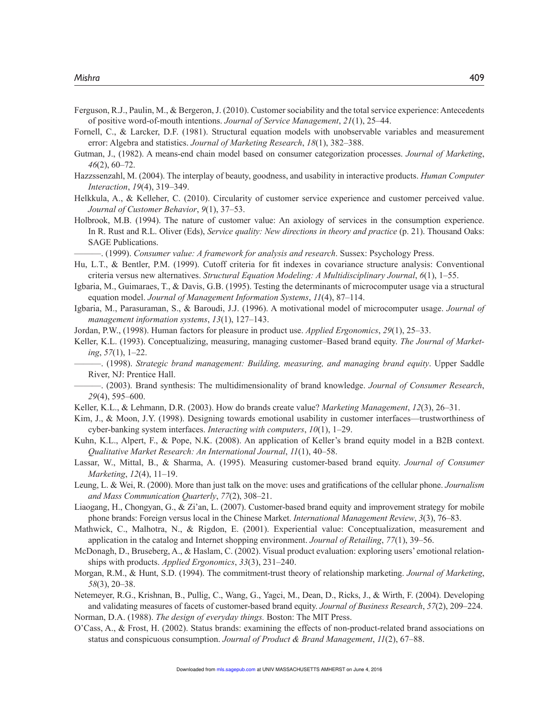- Ferguson, R.J., Paulin, M., & Bergeron, J. (2010). Customer sociability and the total service experience: Antecedents of positive word-of-mouth intentions. *Journal of Service Management*, *21*(1), 25–44.
- Fornell, C., & Larcker, D.F. (1981). Structural equation models with unobservable variables and measurement error: Algebra and statistics. *Journal of Marketing Research*, *18*(1), 382–388.
- Gutman, J., (1982). A means-end chain model based on consumer categorization processes. *Journal of Marketing*, *46*(2), 60–72.
- Hazzssenzahl, M. (2004). The interplay of beauty, goodness, and usability in interactive products. *Human Computer Interaction*, *19*(4), 319–349.
- Helkkula, A., & Kelleher, C. (2010). Circularity of customer service experience and customer perceived value. *Journal of Customer Behavior*, *9*(1), 37–53.
- Holbrook, M.B. (1994). The nature of customer value: An axiology of services in the consumption experience. In R. Rust and R.L. Oliver (Eds), *Service quality: New directions in theory and practice* (p. 21). Thousand Oaks: SAGE Publications.

———. (1999). *Consumer value: A framework for analysis and research*. Sussex: Psychology Press.

- Hu, L.T., & Bentler, P.M. (1999). Cutoff criteria for fit indexes in covariance structure analysis: Conventional criteria versus new alternatives. *Structural Equation Modeling: A Multidisciplinary Journal*, *6*(1), 1–55.
- Igbaria, M., Guimaraes, T., & Davis, G.B. (1995). Testing the determinants of microcomputer usage via a structural equation model. *Journal of Management Information Systems*, *11*(4), 87–114.
- Igbaria, M., Parasuraman, S., & Baroudi, J.J. (1996). A motivational model of microcomputer usage. *Journal of management information systems*, *13*(1), 127–143.
- Jordan, P.W., (1998). Human factors for pleasure in product use. *Applied Ergonomics*, *29*(1), 25–33.
- Keller, K.L. (1993). Conceptualizing, measuring, managing customer–Based brand equity. *The Journal of Marketing*, *57*(1), 1–22.
- ———. (1998). *Strategic brand management: Building, measuring, and managing brand equity*. Upper Saddle River, NJ: Prentice Hall.
- ———. (2003). Brand synthesis: The multidimensionality of brand knowledge. *Journal of Consumer Research*, *29*(4), 595–600.
- Keller, K.L., & Lehmann, D.R. (2003). How do brands create value? *Marketing Management*, *12*(3), 26–31.
- Kim, J., & Moon, J.Y. (1998). Designing towards emotional usability in customer interfaces—trustworthiness of cyber-banking system interfaces. *Interacting with computers*, *10*(1), 1–29.
- Kuhn, K.L., Alpert, F., & Pope, N.K. (2008). An application of Keller's brand equity model in a B2B context. *Qualitative Market Research: An International Journal*, *11*(1), 40–58.
- Lassar, W., Mittal, B., & Sharma, A. (1995). Measuring customer-based brand equity. *Journal of Consumer Marketing*, *12*(4), 11–19.
- Leung, L. & Wei, R. (2000). More than just talk on the move: uses and gratifications of the cellular phone. *Journalism and Mass Communication Quarterly*, *77*(2), 308–21.
- Liaogang, H., Chongyan, G., & Zi'an, L. (2007). Customer-based brand equity and improvement strategy for mobile phone brands: Foreign versus local in the Chinese Market. *International Management Review*, *3*(3), 76–83.
- Mathwick, C., Malhotra, N., & Rigdon, E. (2001). Experiential value: Conceptualization, measurement and application in the catalog and Internet shopping environment. *Journal of Retailing*, *77*(1), 39–56.
- McDonagh, D., Bruseberg, A., & Haslam, C. (2002). Visual product evaluation: exploring users' emotional relationships with products. *Applied Ergonomics*, *33*(3), 231–240.
- Morgan, R.M., & Hunt, S.D. (1994). The commitment-trust theory of relationship marketing. *Journal of Marketing*, *58*(3), 20–38.
- Netemeyer, R.G., Krishnan, B., Pullig, C., Wang, G., Yagci, M., Dean, D., Ricks, J., & Wirth, F. (2004). Developing and validating measures of facets of customer-based brand equity. *Journal of Business Research*, *57*(2), 209–224.

Norman, D.A. (1988). *The design of everyday things.* Boston: The MIT Press.

O'Cass, A., & Frost, H. (2002). Status brands: examining the effects of non-product-related brand associations on status and conspicuous consumption. *Journal of Product & Brand Management*, *11*(2), 67–88.